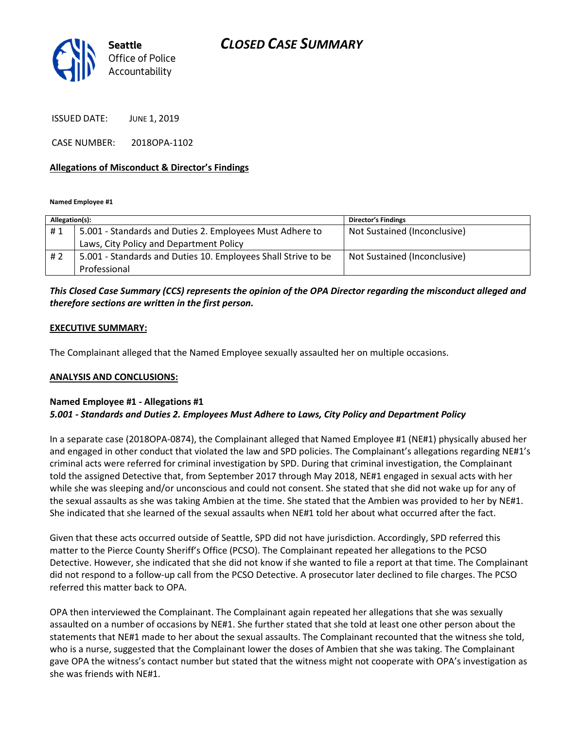

ISSUED DATE: JUNE 1, 2019

CASE NUMBER: 2018OPA-1102

### Allegations of Misconduct & Director's Findings

Named Employee #1

| Allegation(s): |                                                               | <b>Director's Findings</b>   |
|----------------|---------------------------------------------------------------|------------------------------|
| #1             | 5.001 - Standards and Duties 2. Employees Must Adhere to      | Not Sustained (Inconclusive) |
|                | Laws, City Policy and Department Policy                       |                              |
| # 2            | 5.001 - Standards and Duties 10. Employees Shall Strive to be | Not Sustained (Inconclusive) |
|                | Professional                                                  |                              |

# This Closed Case Summary (CCS) represents the opinion of the OPA Director regarding the misconduct alleged and therefore sections are written in the first person.

### EXECUTIVE SUMMARY:

The Complainant alleged that the Named Employee sexually assaulted her on multiple occasions.

#### ANALYSIS AND CONCLUSIONS:

### Named Employee #1 - Allegations #1 5.001 - Standards and Duties 2. Employees Must Adhere to Laws, City Policy and Department Policy

In a separate case (2018OPA-0874), the Complainant alleged that Named Employee #1 (NE#1) physically abused her and engaged in other conduct that violated the law and SPD policies. The Complainant's allegations regarding NE#1's criminal acts were referred for criminal investigation by SPD. During that criminal investigation, the Complainant told the assigned Detective that, from September 2017 through May 2018, NE#1 engaged in sexual acts with her while she was sleeping and/or unconscious and could not consent. She stated that she did not wake up for any of the sexual assaults as she was taking Ambien at the time. She stated that the Ambien was provided to her by NE#1. She indicated that she learned of the sexual assaults when NE#1 told her about what occurred after the fact.

Given that these acts occurred outside of Seattle, SPD did not have jurisdiction. Accordingly, SPD referred this matter to the Pierce County Sheriff's Office (PCSO). The Complainant repeated her allegations to the PCSO Detective. However, she indicated that she did not know if she wanted to file a report at that time. The Complainant did not respond to a follow-up call from the PCSO Detective. A prosecutor later declined to file charges. The PCSO referred this matter back to OPA.

OPA then interviewed the Complainant. The Complainant again repeated her allegations that she was sexually assaulted on a number of occasions by NE#1. She further stated that she told at least one other person about the statements that NE#1 made to her about the sexual assaults. The Complainant recounted that the witness she told, who is a nurse, suggested that the Complainant lower the doses of Ambien that she was taking. The Complainant gave OPA the witness's contact number but stated that the witness might not cooperate with OPA's investigation as she was friends with NE#1.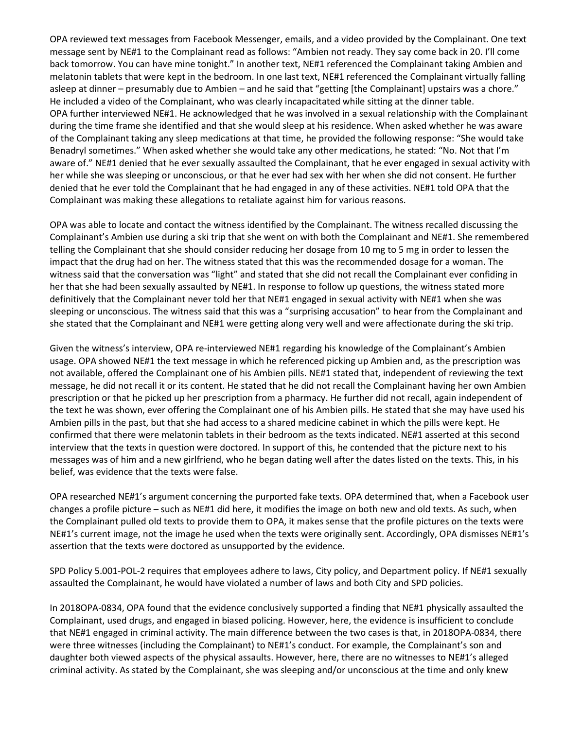OPA reviewed text messages from Facebook Messenger, emails, and a video provided by the Complainant. One text message sent by NE#1 to the Complainant read as follows: "Ambien not ready. They say come back in 20. I'll come back tomorrow. You can have mine tonight." In another text, NE#1 referenced the Complainant taking Ambien and melatonin tablets that were kept in the bedroom. In one last text, NE#1 referenced the Complainant virtually falling asleep at dinner – presumably due to Ambien – and he said that "getting [the Complainant] upstairs was a chore." He included a video of the Complainant, who was clearly incapacitated while sitting at the dinner table. OPA further interviewed NE#1. He acknowledged that he was involved in a sexual relationship with the Complainant during the time frame she identified and that she would sleep at his residence. When asked whether he was aware of the Complainant taking any sleep medications at that time, he provided the following response: "She would take Benadryl sometimes." When asked whether she would take any other medications, he stated: "No. Not that I'm aware of." NE#1 denied that he ever sexually assaulted the Complainant, that he ever engaged in sexual activity with her while she was sleeping or unconscious, or that he ever had sex with her when she did not consent. He further denied that he ever told the Complainant that he had engaged in any of these activities. NE#1 told OPA that the Complainant was making these allegations to retaliate against him for various reasons.

OPA was able to locate and contact the witness identified by the Complainant. The witness recalled discussing the Complainant's Ambien use during a ski trip that she went on with both the Complainant and NE#1. She remembered telling the Complainant that she should consider reducing her dosage from 10 mg to 5 mg in order to lessen the impact that the drug had on her. The witness stated that this was the recommended dosage for a woman. The witness said that the conversation was "light" and stated that she did not recall the Complainant ever confiding in her that she had been sexually assaulted by NE#1. In response to follow up questions, the witness stated more definitively that the Complainant never told her that NE#1 engaged in sexual activity with NE#1 when she was sleeping or unconscious. The witness said that this was a "surprising accusation" to hear from the Complainant and she stated that the Complainant and NE#1 were getting along very well and were affectionate during the ski trip.

Given the witness's interview, OPA re-interviewed NE#1 regarding his knowledge of the Complainant's Ambien usage. OPA showed NE#1 the text message in which he referenced picking up Ambien and, as the prescription was not available, offered the Complainant one of his Ambien pills. NE#1 stated that, independent of reviewing the text message, he did not recall it or its content. He stated that he did not recall the Complainant having her own Ambien prescription or that he picked up her prescription from a pharmacy. He further did not recall, again independent of the text he was shown, ever offering the Complainant one of his Ambien pills. He stated that she may have used his Ambien pills in the past, but that she had access to a shared medicine cabinet in which the pills were kept. He confirmed that there were melatonin tablets in their bedroom as the texts indicated. NE#1 asserted at this second interview that the texts in question were doctored. In support of this, he contended that the picture next to his messages was of him and a new girlfriend, who he began dating well after the dates listed on the texts. This, in his belief, was evidence that the texts were false.

OPA researched NE#1's argument concerning the purported fake texts. OPA determined that, when a Facebook user changes a profile picture – such as NE#1 did here, it modifies the image on both new and old texts. As such, when the Complainant pulled old texts to provide them to OPA, it makes sense that the profile pictures on the texts were NE#1's current image, not the image he used when the texts were originally sent. Accordingly, OPA dismisses NE#1's assertion that the texts were doctored as unsupported by the evidence.

SPD Policy 5.001-POL-2 requires that employees adhere to laws, City policy, and Department policy. If NE#1 sexually assaulted the Complainant, he would have violated a number of laws and both City and SPD policies.

In 2018OPA-0834, OPA found that the evidence conclusively supported a finding that NE#1 physically assaulted the Complainant, used drugs, and engaged in biased policing. However, here, the evidence is insufficient to conclude that NE#1 engaged in criminal activity. The main difference between the two cases is that, in 2018OPA-0834, there were three witnesses (including the Complainant) to NE#1's conduct. For example, the Complainant's son and daughter both viewed aspects of the physical assaults. However, here, there are no witnesses to NE#1's alleged criminal activity. As stated by the Complainant, she was sleeping and/or unconscious at the time and only knew